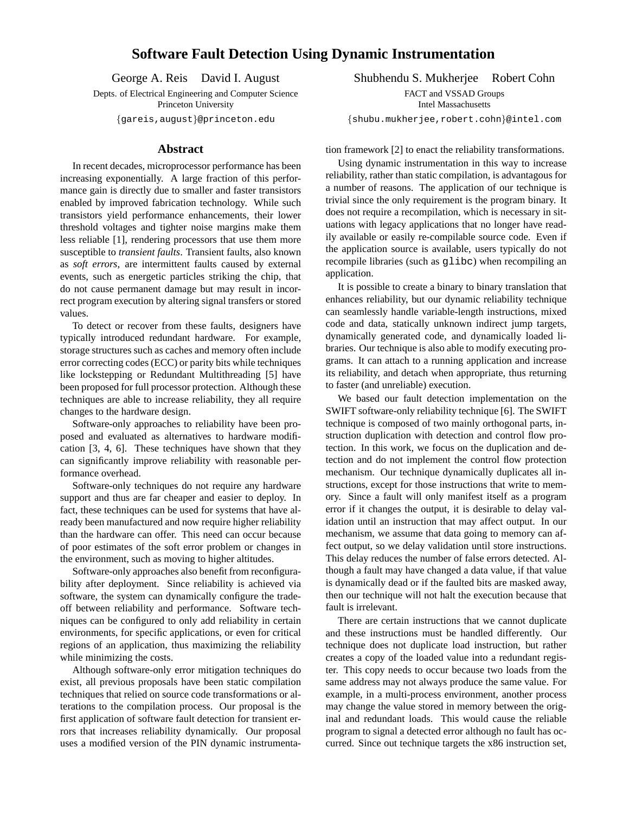## **Software Fault Detection Using Dynamic Instrumentation**

George A. Reis David I. August

Depts. of Electrical Engineering and Computer Science Princeton University

{gareis,august}@princeton.edu

## **Abstract**

In recent decades, microprocessor performance has been increasing exponentially. A large fraction of this performance gain is directly due to smaller and faster transistors enabled by improved fabrication technology. While such transistors yield performance enhancements, their lower threshold voltages and tighter noise margins make them less reliable [1], rendering processors that use them more susceptible to *transient faults*. Transient faults, also known as *soft errors*, are intermittent faults caused by external events, such as energetic particles striking the chip, that do not cause permanent damage but may result in incorrect program execution by altering signal transfers or stored values.

To detect or recover from these faults, designers have typically introduced redundant hardware. For example, storage structures such as caches and memory often include error correcting codes (ECC) or parity bits while techniques like lockstepping or Redundant Multithreading [5] have been proposed for full processor protection. Although these techniques are able to increase reliability, they all require changes to the hardware design.

Software-only approaches to reliability have been proposed and evaluated as alternatives to hardware modification [3, 4, 6]. These techniques have shown that they can significantly improve reliability with reasonable performance overhead.

Software-only techniques do not require any hardware support and thus are far cheaper and easier to deploy. In fact, these techniques can be used for systems that have already been manufactured and now require higher reliability than the hardware can offer. This need can occur because of poor estimates of the soft error problem or changes in the environment, such as moving to higher altitudes.

Software-only approaches also benefit from reconfigurability after deployment. Since reliability is achieved via software, the system can dynamically configure the tradeoff between reliability and performance. Software techniques can be configured to only add reliability in certain environments, for specific applications, or even for critical regions of an application, thus maximizing the reliability while minimizing the costs.

Although software-only error mitigation techniques do exist, all previous proposals have been static compilation techniques that relied on source code transformations or alterations to the compilation process. Our proposal is the first application of software fault detection for transient errors that increases reliability dynamically. Our proposal uses a modified version of the PIN dynamic instrumentaShubhendu S. Mukherjee Robert Cohn FACT and VSSAD Groups Intel Massachusetts

{shubu.mukherjee,robert.cohn}@intel.com

tion framework [2] to enact the reliability transformations.

Using dynamic instrumentation in this way to increase reliability, rather than static compilation, is advantagous for a number of reasons. The application of our technique is trivial since the only requirement is the program binary. It does not require a recompilation, which is necessary in situations with legacy applications that no longer have readily available or easily re-compilable source code. Even if the application source is available, users typically do not recompile libraries (such as glibc) when recompiling an application.

It is possible to create a binary to binary translation that enhances reliability, but our dynamic reliability technique can seamlessly handle variable-length instructions, mixed code and data, statically unknown indirect jump targets, dynamically generated code, and dynamically loaded libraries. Our technique is also able to modify executing programs. It can attach to a running application and increase its reliability, and detach when appropriate, thus returning to faster (and unreliable) execution.

We based our fault detection implementation on the SWIFT software-only reliability technique [6]. The SWIFT technique is composed of two mainly orthogonal parts, instruction duplication with detection and control flow protection. In this work, we focus on the duplication and detection and do not implement the control flow protection mechanism. Our technique dynamically duplicates all instructions, except for those instructions that write to memory. Since a fault will only manifest itself as a program error if it changes the output, it is desirable to delay validation until an instruction that may affect output. In our mechanism, we assume that data going to memory can affect output, so we delay validation until store instructions. This delay reduces the number of false errors detected. Although a fault may have changed a data value, if that value is dynamically dead or if the faulted bits are masked away, then our technique will not halt the execution because that fault is irrelevant.

There are certain instructions that we cannot duplicate and these instructions must be handled differently. Our technique does not duplicate load instruction, but rather creates a copy of the loaded value into a redundant register. This copy needs to occur because two loads from the same address may not always produce the same value. For example, in a multi-process environment, another process may change the value stored in memory between the original and redundant loads. This would cause the reliable program to signal a detected error although no fault has occurred. Since out technique targets the x86 instruction set,